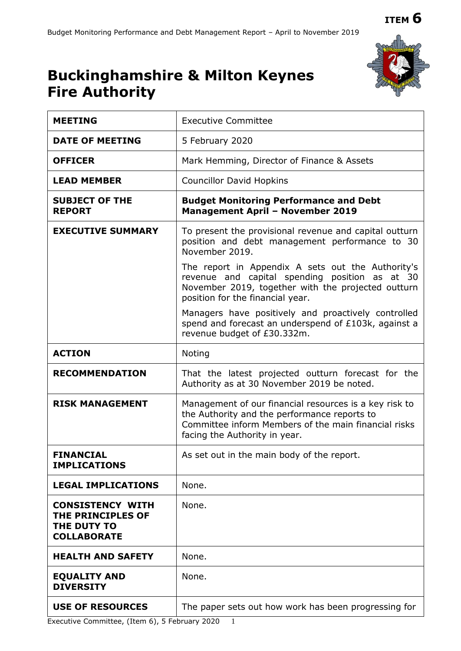# **Buckinghamshire & Milton Keynes**



**USE OF RESOURCES** The paper sets out how work has been progressing for

Executive Committee, (Item 6), 5 February 2020 1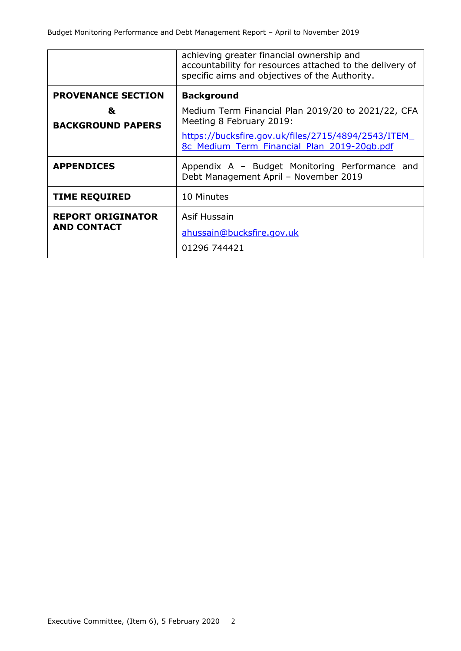|                               | achieving greater financial ownership and<br>accountability for resources attached to the delivery of<br>specific aims and objectives of the Authority.                             |  |  |  |  |
|-------------------------------|-------------------------------------------------------------------------------------------------------------------------------------------------------------------------------------|--|--|--|--|
| <b>PROVENANCE SECTION</b>     | <b>Background</b>                                                                                                                                                                   |  |  |  |  |
| &<br><b>BACKGROUND PAPERS</b> | Medium Term Financial Plan 2019/20 to 2021/22, CFA<br>Meeting 8 February 2019:<br>https://bucksfire.gov.uk/files/2715/4894/2543/ITEM<br>8c Medium Term Financial Plan 2019-20qb.pdf |  |  |  |  |
|                               |                                                                                                                                                                                     |  |  |  |  |
| <b>APPENDICES</b>             | Appendix A – Budget Monitoring Performance and<br>Debt Management April - November 2019                                                                                             |  |  |  |  |
| <b>TIME REQUIRED</b>          | 10 Minutes                                                                                                                                                                          |  |  |  |  |
| <b>REPORT ORIGINATOR</b>      | Asif Hussain                                                                                                                                                                        |  |  |  |  |
| <b>AND CONTACT</b>            | ahussain@bucksfire.gov.uk                                                                                                                                                           |  |  |  |  |
|                               | 01296 744421                                                                                                                                                                        |  |  |  |  |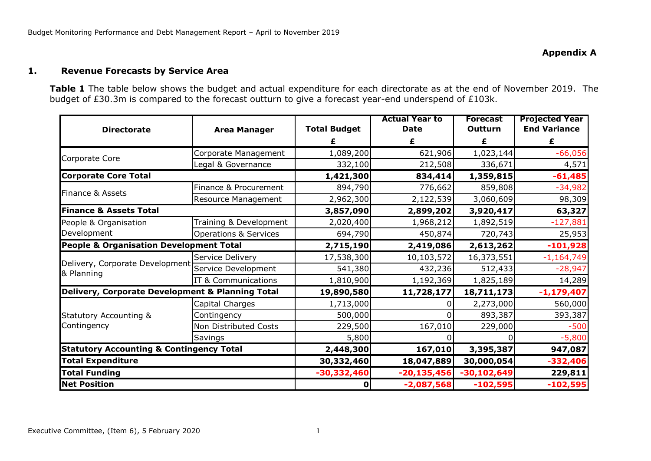#### **1. Revenue Forecasts by Service Area**

**Table 1** The table below shows the budget and actual expenditure for each directorate as at the end of November 2019. The budget of £30.3m is compared to the forecast outturn to give a forecast year-end underspend of £103k.

|                                                     |                                  |                     | <b>Actual Year to</b> | <b>Forecast</b> | <b>Projected Year</b> |
|-----------------------------------------------------|----------------------------------|---------------------|-----------------------|-----------------|-----------------------|
| <b>Directorate</b>                                  | <b>Area Manager</b>              | <b>Total Budget</b> | <b>Date</b>           | Outturn         | <b>End Variance</b>   |
|                                                     |                                  |                     | £                     |                 | £                     |
| Corporate Core                                      | Corporate Management             | 1,089,200           | 621,906               | 1,023,144       | $-66,056$             |
|                                                     | Legal & Governance               | 332,100             | 212,508               | 336,671         | 4,571                 |
| <b>Corporate Core Total</b>                         |                                  | 1,421,300           | 834,414               | 1,359,815       | $-61,485$             |
|                                                     | Finance & Procurement            | 894,790             | 776,662               | 859,808         | $-34,982$             |
| Finance & Assets                                    | Resource Management              | 2,962,300           | 2,122,539             | 3,060,609       | 98,309                |
| <b>Finance &amp; Assets Total</b>                   |                                  | 3,857,090           | 2,899,202             | 3,920,417       | 63,327                |
| People & Organisation                               | Training & Development           | 2,020,400           | 1,968,212             | 1,892,519       | $-127,881$            |
| Development                                         | <b>Operations &amp; Services</b> | 694,790             | 450,874               | 720,743         | 25,953                |
| <b>People &amp; Organisation Development Total</b>  |                                  | 2,715,190           | 2,419,086             | 2,613,262       | $-101,928$            |
|                                                     | Service Delivery                 | 17,538,300          | 10,103,572            | 16,373,551      | $-1,164,749$          |
| Delivery, Corporate Development<br>& Planning       | Service Development              | 541,380             | 432,236               | 512,433         | $-28,947$             |
|                                                     | IT & Communications              | 1,810,900           | 1,192,369             | 1,825,189       | 14,289                |
| Delivery, Corporate Development & Planning Total    |                                  | 19,890,580          | 11,728,177            | 18,711,173      | $-1,179,407$          |
|                                                     | Capital Charges                  | 1,713,000           |                       | 2,273,000       | 560,000               |
| <b>Statutory Accounting &amp;</b>                   | Contingency                      | 500,000             |                       | 893,387         | 393,387               |
| Contingency                                         | Non Distributed Costs            | 229,500             | 167,010               | 229,000         | $-500$                |
|                                                     | Savings                          | 5,800               |                       |                 | $-5,800$              |
| <b>Statutory Accounting &amp; Contingency Total</b> |                                  | 2,448,300           | 167,010               | 3,395,387       | 947,087               |
| <b>Total Expenditure</b>                            |                                  | 30,332,460          | 18,047,889            | 30,000,054      | $-332,406$            |
| <b>Total Funding</b>                                |                                  | $-30,332,460$       | $-20,135,456$         | $-30,102,649$   | 229,811               |
| <b>Net Position</b>                                 |                                  | O                   | $-2,087,568$          | $-102,595$      | $-102,595$            |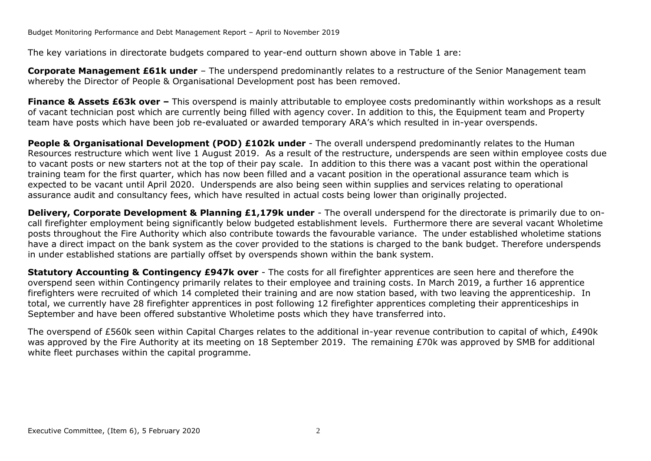The key variations in directorate budgets compared to year-end outturn shown above in Table 1 are:

**Corporate Management £61k under** – The underspend predominantly relates to a restructure of the Senior Management team whereby the Director of People & Organisational Development post has been removed.

**Finance & Assets £63k over –** This overspend is mainly attributable to employee costs predominantly within workshops as a result of vacant technician post which are currently being filled with agency cover. In addition to this, the Equipment team and Property team have posts which have been job re-evaluated or awarded temporary ARA's which resulted in in-year overspends.

**People & Organisational Development (POD) £102k under** - The overall underspend predominantly relates to the Human Resources restructure which went live 1 August 2019. As a result of the restructure, underspends are seen within employee costs due to vacant posts or new starters not at the top of their pay scale. In addition to this there was a vacant post within the operational training team for the first quarter, which has now been filled and a vacant position in the operational assurance team which is expected to be vacant until April 2020. Underspends are also being seen within supplies and services relating to operational assurance audit and consultancy fees, which have resulted in actual costs being lower than originally projected.

**Delivery, Corporate Development & Planning £1,179k under** - The overall underspend for the directorate is primarily due to oncall firefighter employment being significantly below budgeted establishment levels. Furthermore there are several vacant Wholetime posts throughout the Fire Authority which also contribute towards the favourable variance. The under established wholetime stations have a direct impact on the bank system as the cover provided to the stations is charged to the bank budget. Therefore underspends in under established stations are partially offset by overspends shown within the bank system.

**Statutory Accounting & Contingency £947k over** - The costs for all firefighter apprentices are seen here and therefore the overspend seen within Contingency primarily relates to their employee and training costs. In March 2019, a further 16 apprentice firefighters were recruited of which 14 completed their training and are now station based, with two leaving the apprenticeship. In total, we currently have 28 firefighter apprentices in post following 12 firefighter apprentices completing their apprenticeships in September and have been offered substantive Wholetime posts which they have transferred into.

The overspend of £560k seen within Capital Charges relates to the additional in-year revenue contribution to capital of which, £490k was approved by the Fire Authority at its meeting on 18 September 2019. The remaining £70k was approved by SMB for additional white fleet purchases within the capital programme.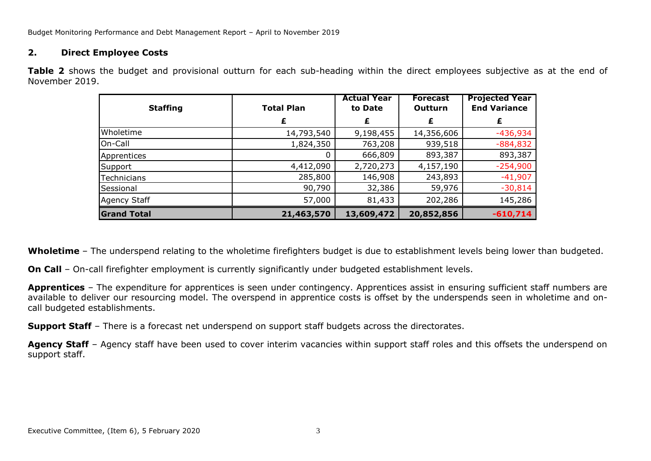Budget Monitoring Performance and Debt Management Report – April to November 2019

## **2. Direct Employee Costs**

**Table 2** shows the budget and provisional outturn for each sub-heading within the direct employees subjective as at the end of November 2019.

| <b>Staffing</b>    | <b>Total Plan</b> | <b>Actual Year</b><br>to Date | <b>Forecast</b><br>Outturn | <b>Projected Year</b><br><b>End Variance</b> |  |
|--------------------|-------------------|-------------------------------|----------------------------|----------------------------------------------|--|
|                    | £                 | £                             | £                          | £                                            |  |
| Wholetime          | 14,793,540        | 9,198,455                     | 14,356,606                 | $-436,934$                                   |  |
| On-Call            | 1,824,350         | 763,208                       | 939,518                    | $-884,832$                                   |  |
| Apprentices        |                   | 666,809                       | 893,387                    | 893,387                                      |  |
| Support            | 4,412,090         | 2,720,273                     | 4,157,190                  | $-254,900$                                   |  |
| Technicians        | 285,800           | 146,908                       | 243,893                    | $-41,907$                                    |  |
| Sessional          | 90,790            | 32,386                        | 59,976                     | $-30,814$                                    |  |
| Agency Staff       | 57,000            | 81,433                        | 202,286                    | 145,286                                      |  |
| <b>Grand Total</b> | 21,463,570        | 13,609,472                    | 20,852,856                 | $-610,714$                                   |  |

**Wholetime** – The underspend relating to the wholetime firefighters budget is due to establishment levels being lower than budgeted.

**On Call** – On-call firefighter employment is currently significantly under budgeted establishment levels.

**Apprentices** – The expenditure for apprentices is seen under contingency. Apprentices assist in ensuring sufficient staff numbers are available to deliver our resourcing model. The overspend in apprentice costs is offset by the underspends seen in wholetime and oncall budgeted establishments.

**Support Staff** – There is a forecast net underspend on support staff budgets across the directorates.

Agency Staff – Agency staff have been used to cover interim vacancies within support staff roles and this offsets the underspend on support staff.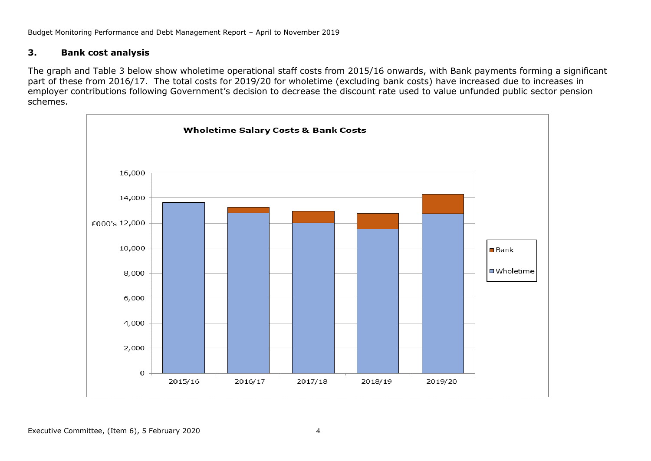Budget Monitoring Performance and Debt Management Report – April to November 2019

## **3. Bank cost analysis**

The graph and Table 3 below show wholetime operational staff costs from 2015/16 onwards, with Bank payments forming a significant part of these from 2016/17. The total costs for 2019/20 for wholetime (excluding bank costs) have increased due to increases in employer contributions following Government's decision to decrease the discount rate used to value unfunded public sector pension schemes.

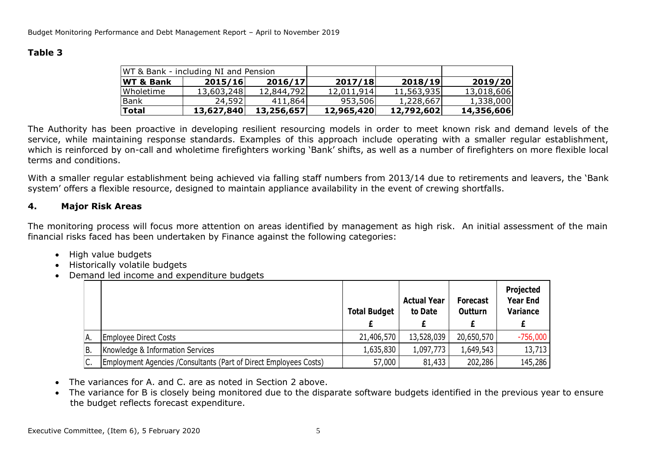# **Table 3**

| WT & Bank - including NI and Pension |            |            |            |            |            |
|--------------------------------------|------------|------------|------------|------------|------------|
| <b>WT &amp; Bank</b>                 | 2015/16    | 2016/17    | 2017/18    | 2018/19    | 2019/20    |
| Wholetime                            | 13,603,248 | 12,844,792 | 12,011,914 | 11,563,935 | 13,018,606 |
| Bank                                 | 24,592     | 411,864    | 953,506    | 1,228,667  | 1,338,000  |
| <b>Total</b>                         | 13,627,840 | 13,256,657 | 12,965,420 | 12,792,602 | 14,356,606 |

The Authority has been proactive in developing resilient resourcing models in order to meet known risk and demand levels of the service, while maintaining response standards. Examples of this approach include operating with a smaller regular establishment, which is reinforced by on-call and wholetime firefighters working 'Bank' shifts, as well as a number of firefighters on more flexible local terms and conditions.

With a smaller regular establishment being achieved via falling staff numbers from 2013/14 due to retirements and leavers, the 'Bank system' offers a flexible resource, designed to maintain appliance availability in the event of crewing shortfalls.

# **4. Major Risk Areas**

The monitoring process will focus more attention on areas identified by management as high risk. An initial assessment of the main financial risks faced has been undertaken by Finance against the following categories:

- High value budgets
- Historically volatile budgets
- Demand led income and expenditure budgets

|     |                                                                    | <b>Total Budget</b> | <b>Actual Year</b><br>to Date | <b>Forecast</b><br><b>Outturn</b> | Projected<br><b>Year End</b><br><b>Variance</b> |
|-----|--------------------------------------------------------------------|---------------------|-------------------------------|-----------------------------------|-------------------------------------------------|
| А.  | Employee Direct Costs                                              | 21,406,570          | 13,528,039                    | 20,650,570                        | $-756,000$                                      |
| IB. | Knowledge & Information Services                                   | 1,635,830           | 1,097,773                     | 1,649,543                         | 13,713                                          |
| C.  | Employment Agencies / Consultants (Part of Direct Employees Costs) | 57,000              | 81,433                        | 202,286                           | 145,286                                         |
|     |                                                                    |                     |                               |                                   |                                                 |

- The variances for A. and C. are as noted in Section 2 above.
- The variance for B is closely being monitored due to the disparate software budgets identified in the previous year to ensure the budget reflects forecast expenditure.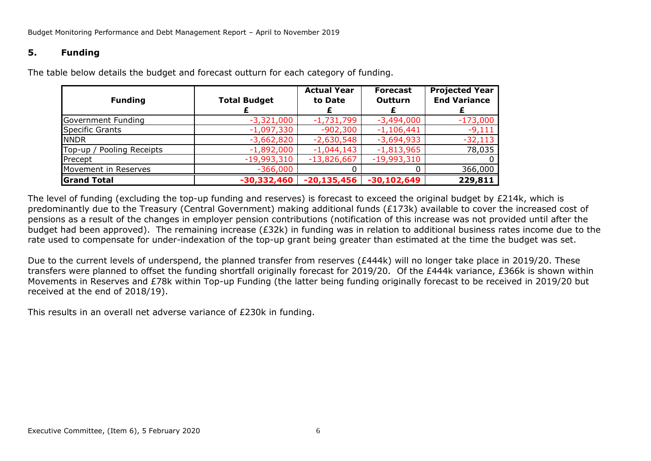# **5. Funding**

| <b>Funding</b>            | <b>Total Budget</b> | <b>Actual Year</b><br>to Date | <b>Forecast</b><br><b>Outturn</b> | <b>Projected Year</b><br><b>End Variance</b> |
|---------------------------|---------------------|-------------------------------|-----------------------------------|----------------------------------------------|
| Government Funding        | $-3,321,000$        | $-1,731,799$                  | $-3,494,000$                      | $-173,000$                                   |
| <b>Specific Grants</b>    | $-1,097,330$        | $-902,300$                    | $-1,106,441$                      | $-9,111$                                     |
| <b>NNDR</b>               | $-3,662,820$        | $-2,630,548$                  | $-3,694,933$                      | $-32,113$                                    |
| Top-up / Pooling Receipts | $-1,892,000$        | $-1,044,143$                  | $-1,813,965$                      | 78,035                                       |
| Precept                   | $-19,993,310$       | $-13,826,667$                 | $-19,993,310$                     | 0                                            |
| Movement in Reserves      | $-366,000$          |                               |                                   | 366,000                                      |
| <b>Grand Total</b>        | $-30,332,460$       | $-20,135,456$                 | $-30,102,649$                     | 229,811                                      |

The table below details the budget and forecast outturn for each category of funding.

The level of funding (excluding the top-up funding and reserves) is forecast to exceed the original budget by £214k, which is predominantly due to the Treasury (Central Government) making additional funds (£173k) available to cover the increased cost of pensions as a result of the changes in employer pension contributions (notification of this increase was not provided until after the budget had been approved). The remaining increase (£32k) in funding was in relation to additional business rates income due to the rate used to compensate for under-indexation of the top-up grant being greater than estimated at the time the budget was set.

Due to the current levels of underspend, the planned transfer from reserves (£444k) will no longer take place in 2019/20. These transfers were planned to offset the funding shortfall originally forecast for 2019/20. Of the £444k variance, £366k is shown within Movements in Reserves and £78k within Top-up Funding (the latter being funding originally forecast to be received in 2019/20 but received at the end of 2018/19).

This results in an overall net adverse variance of £230k in funding.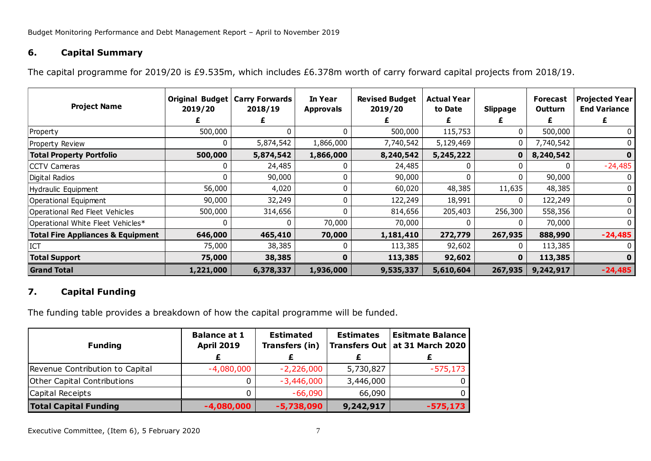# **6. Capital Summary**

The capital programme for 2019/20 is £9.535m, which includes £6.378m worth of carry forward capital projects from 2018/19.

| <b>Project Name</b>                          | Original Budget<br>2019/20 | <b>Carry Forwards</b><br>2018/19 | In Year<br><b>Approvals</b> | <b>Revised Budget</b><br>2019/20 | <b>Actual Year</b><br>to Date | Slippage     | <b>Forecast</b><br>Outturn | <b>Projected Year</b><br><b>End Variance</b> |
|----------------------------------------------|----------------------------|----------------------------------|-----------------------------|----------------------------------|-------------------------------|--------------|----------------------------|----------------------------------------------|
| Property                                     | 500,000                    |                                  |                             | 500,000                          | 115,753                       | 0            | 500,000                    | 0                                            |
| Property Review                              | 0                          | 5,874,542                        | 1,866,000                   | 7,740,542                        | 5,129,469                     | 0            | 7,740,542                  | 0                                            |
| <b>Total Property Portfolio</b>              | 500,000                    | 5,874,542                        | 1,866,000                   | 8,240,542                        | 5,245,222                     | $\mathbf{0}$ | 8,240,542                  | $\mathbf{0}$                                 |
| <b>CCTV Cameras</b>                          |                            | 24,485                           |                             | 24,485                           |                               |              |                            | $-24,485$                                    |
| Digital Radios                               | 0                          | 90,000                           |                             | 90,000                           | 0                             | 0            | 90,000                     | 0                                            |
| Hydraulic Equipment                          | 56,000                     | 4,020                            |                             | 60,020                           | 48,385                        | 11,635       | 48,385                     | 0                                            |
| Operational Equipment                        | 90,000                     | 32,249                           |                             | 122,249                          | 18,991                        | 0            | 122,249                    |                                              |
| Operational Red Fleet Vehicles               | 500,000                    | 314,656                          |                             | 814,656                          | 205,403                       | 256,300      | 558,356                    |                                              |
| Operational White Fleet Vehicles*            | 0                          | $\Omega$                         | 70,000                      | 70,000                           |                               |              | 70,000                     |                                              |
| <b>Total Fire Appliances &amp; Equipment</b> | 646,000                    | 465,410                          | 70,000                      | 1,181,410                        | 272,779                       | 267,935      | 888,990                    | $-24,485$                                    |
| ICT                                          | 75,000                     | 38,385                           |                             | 113,385                          | 92,602                        | 0            | 113,385                    |                                              |
| <b>Total Support</b>                         | 75,000                     | 38,385                           | O                           | 113,385                          | 92,602                        | $\mathbf{0}$ | 113,385                    | 0                                            |
| <b>Grand Total</b>                           | 1,221,000                  | 6,378,337                        | 1,936,000                   | 9,535,337                        | 5,610,604                     | 267,935      | 9,242,917                  | $-24,485$                                    |

# **7. Capital Funding**

The funding table provides a breakdown of how the capital programme will be funded.

| <b>Funding</b>                     | <b>Balance at 1</b><br><b>April 2019</b> | <b>Estimated</b><br>Transfers (in) |           | <b>Esitmate Balance</b><br>Transfers Out   at 31 March 2020 |  |
|------------------------------------|------------------------------------------|------------------------------------|-----------|-------------------------------------------------------------|--|
|                                    |                                          |                                    |           |                                                             |  |
| Revenue Contribution to Capital    | $-4,080,000$                             | $-2,226,000$                       | 5,730,827 | $-575,173$                                                  |  |
| <b>Other Capital Contributions</b> |                                          | $-3,446,000$                       | 3,446,000 |                                                             |  |
| Capital Receipts                   |                                          | $-66,090$                          | 66,090    |                                                             |  |
| <b>Total Capital Funding</b>       | $-4,080,000$                             | $-5,738,090$                       | 9,242,917 | $-575,173$                                                  |  |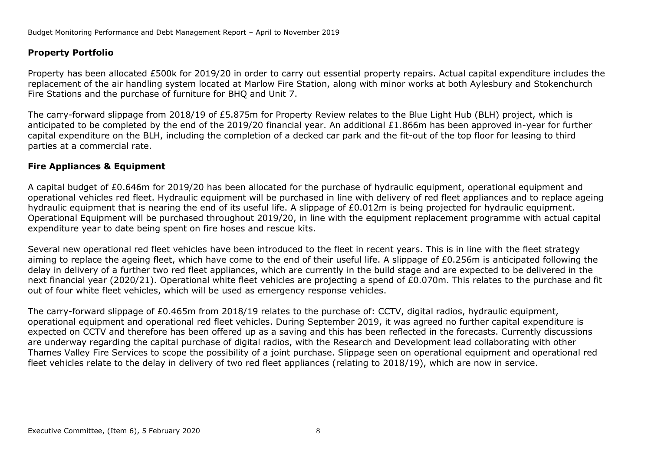# **Property Portfolio**

Property has been allocated £500k for 2019/20 in order to carry out essential property repairs. Actual capital expenditure includes the replacement of the air handling system located at Marlow Fire Station, along with minor works at both Aylesbury and Stokenchurch Fire Stations and the purchase of furniture for BHQ and Unit 7.

The carry-forward slippage from 2018/19 of £5.875m for Property Review relates to the Blue Light Hub (BLH) project, which is anticipated to be completed by the end of the 2019/20 financial year. An additional £1.866m has been approved in-year for further capital expenditure on the BLH, including the completion of a decked car park and the fit-out of the top floor for leasing to third parties at a commercial rate.

## **Fire Appliances & Equipment**

A capital budget of £0.646m for 2019/20 has been allocated for the purchase of hydraulic equipment, operational equipment and operational vehicles red fleet. Hydraulic equipment will be purchased in line with delivery of red fleet appliances and to replace ageing hydraulic equipment that is nearing the end of its useful life. A slippage of £0.012m is being projected for hydraulic equipment. Operational Equipment will be purchased throughout 2019/20, in line with the equipment replacement programme with actual capital expenditure year to date being spent on fire hoses and rescue kits.

Several new operational red fleet vehicles have been introduced to the fleet in recent years. This is in line with the fleet strategy aiming to replace the ageing fleet, which have come to the end of their useful life. A slippage of £0.256m is anticipated following the delay in delivery of a further two red fleet appliances, which are currently in the build stage and are expected to be delivered in the next financial year (2020/21). Operational white fleet vehicles are projecting a spend of £0.070m. This relates to the purchase and fit out of four white fleet vehicles, which will be used as emergency response vehicles.

The carry-forward slippage of £0.465m from 2018/19 relates to the purchase of: CCTV, digital radios, hydraulic equipment, operational equipment and operational red fleet vehicles. During September 2019, it was agreed no further capital expenditure is expected on CCTV and therefore has been offered up as a saving and this has been reflected in the forecasts. Currently discussions are underway regarding the capital purchase of digital radios, with the Research and Development lead collaborating with other Thames Valley Fire Services to scope the possibility of a joint purchase. Slippage seen on operational equipment and operational red fleet vehicles relate to the delay in delivery of two red fleet appliances (relating to 2018/19), which are now in service.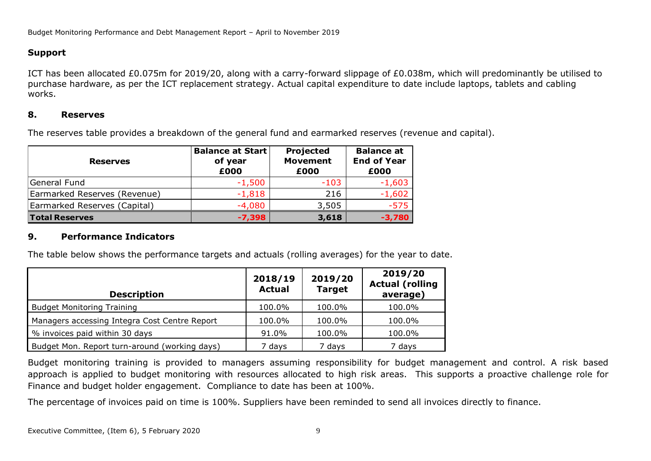# **Support**

ICT has been allocated £0.075m for 2019/20, along with a carry-forward slippage of £0.038m, which will predominantly be utilised to purchase hardware, as per the ICT replacement strategy. Actual capital expenditure to date include laptops, tablets and cabling works.

## **8. Reserves**

The reserves table provides a breakdown of the general fund and earmarked reserves (revenue and capital).

| <b>Reserves</b>              | <b>Balance at Start</b><br>of year<br>£000 | Projected<br><b>Movement</b><br>£000 | <b>Balance at</b><br><b>End of Year</b><br>£000 |
|------------------------------|--------------------------------------------|--------------------------------------|-------------------------------------------------|
| General Fund                 | $-1,500$                                   | $-103$                               | $-1,603$                                        |
| Earmarked Reserves (Revenue) | $-1,818$                                   | 216                                  | $-1,602$                                        |
| Earmarked Reserves (Capital) | $-4,080$                                   | 3,505                                | $-575$                                          |
| <b>Total Reserves</b>        | $-7,398$                                   | 3,618                                | $-3,780$                                        |

## **9. Performance Indicators**

The table below shows the performance targets and actuals (rolling averages) for the year to date.

| <b>Description</b>                            | 2018/19<br><b>Actual</b> | 2019/20<br><b>Target</b> | 2019/20<br><b>Actual (rolling</b><br>average) |
|-----------------------------------------------|--------------------------|--------------------------|-----------------------------------------------|
| <b>Budget Monitoring Training</b>             | 100.0%                   | 100.0%                   | 100.0%                                        |
| Managers accessing Integra Cost Centre Report | 100.0%                   | 100.0%                   | 100.0%                                        |
| % invoices paid within 30 days                | 91.0%                    | 100.0%                   | 100.0%                                        |
| Budget Mon. Report turn-around (working days) | 7 days                   | 7 days                   | 7 days                                        |

Budget monitoring training is provided to managers assuming responsibility for budget management and control. A risk based approach is applied to budget monitoring with resources allocated to high risk areas. This supports a proactive challenge role for Finance and budget holder engagement. Compliance to date has been at 100%.

The percentage of invoices paid on time is 100%. Suppliers have been reminded to send all invoices directly to finance.